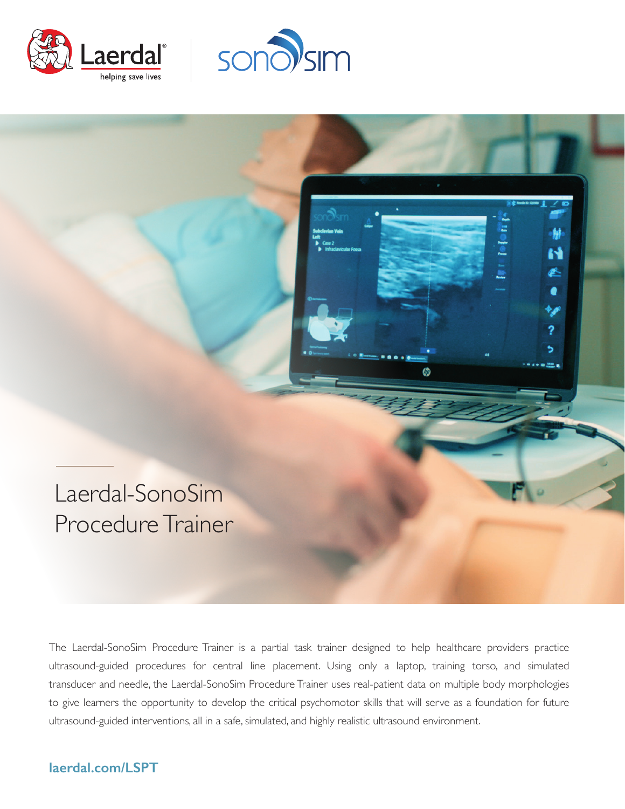





The Laerdal-SonoSim Procedure Trainer is a partial task trainer designed to help healthcare providers practice ultrasound-guided procedures for central line placement. Using only a laptop, training torso, and simulated transducer and needle, the Laerdal-SonoSim Procedure Trainer uses real-patient data on multiple body morphologies to give learners the opportunity to develop the critical psychomotor skills that will serve as a foundation for future ultrasound-guided interventions, all in a safe, simulated, and highly realistic ultrasound environment.

## **laerdal.com/LSPT**